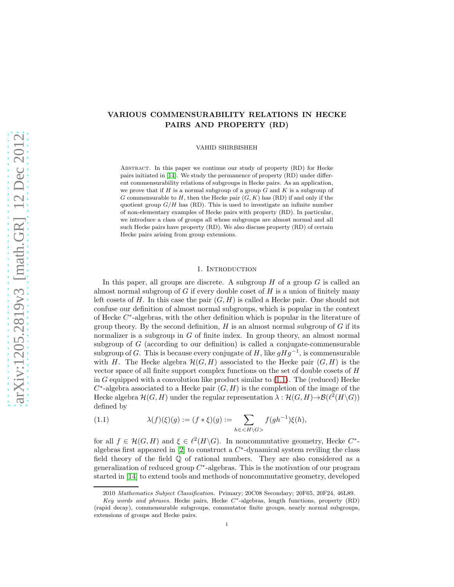# VARIOUS COMMENSURABILITY RELATIONS IN HECKE PAIRS AND PROPERTY (RD)

VAHID SHIRBISHEH

Abstract. In this paper we continue our study of property (RD) for Hecke pairs initiated in [\[14\]](#page-13-0). We study the permanence of property (RD) under different commensurability relations of subgroups in Hecke pairs. As an application, we prove that if  $H$  is a normal subgroup of a group  $G$  and  $K$  is a subgroup of G commensurable to  $H$ , then the Hecke pair  $(G, K)$  has  $(RD)$  if and only if the quotient group  $G/H$  has (RD). This is used to investigate an infinite number of non-elementary examples of Hecke pairs with property (RD). In particular, we introduce a class of groups all whose subgroups are almost normal and all such Hecke pairs have property (RD). We also discuss property (RD) of certain Hecke pairs arising from group extensions.

## 1. INTRODUCTION

In this paper, all groups are discrete. A subgroup  $H$  of a group  $G$  is called an almost normal subgroup of G if every double coset of H is a union of finitely many left cosets of H. In this case the pair  $(G, H)$  is called a Hecke pair. One should not confuse our definition of almost normal subgroups, which is popular in the context of Hecke  $C^*$ -algebras, with the other definition which is popular in the literature of group theory. By the second definition,  $H$  is an almost normal subgroup of  $G$  if its normalizer is a subgroup in G of finite index. In group theory, an almost normal subgroup of  $G$  (according to our definition) is called a conjugate-commensurable subgroup of G. This is because every conjugate of H, like  $gHg^{-1}$ , is commensurable with H. The Hecke algebra  $\mathcal{H}(G, H)$  associated to the Hecke pair  $(G, H)$  is the vector space of all finite support complex functions on the set of double cosets of H in G equipped with a convolution like product similar to  $(1.1)$ . The (reduced) Hecke  $C^*$ -algebra associated to a Hecke pair  $(G, H)$  is the completion of the image of the Hecke algebra  $\mathcal{H}(G,H)$  under the regular representation  $\lambda : \mathcal{H}(G,H) \to \mathcal{B}(\ell^2(H\backslash G))$ defined by

<span id="page-0-0"></span>(1.1) 
$$
\lambda(f)(\xi)(g) := (f * \xi)(g) := \sum_{h \in \langle H \setminus G \rangle} f(gh^{-1})\xi(h),
$$

for all  $f \in \mathcal{H}(G,H)$  and  $\xi \in \ell^2(H\backslash G)$ . In noncommutative geometry, Hecke  $C^*$ algebras first appeared in  $[2]$  to construct a  $C^*$ -dynamical system reviling the class field theory of the field Q of rational numbers. They are also considered as a generalization of reduced group  $C^*$ -algebras. This is the motivation of our program started in [\[14\]](#page-13-0) to extend tools and methods of noncommutative geometry, developed

<sup>2010</sup> Mathematics Subject Classification. Primary; 20C08 Secondary; 20F65, 20F24, 46L89.

Key words and phrases. Hecke pairs, Hecke  $C^*$ -algebras, length functions, property (RD) (rapid decay), commensurable subgroups, commutator finite groups, nearly normal subgroups, extensions of groups and Hecke pairs.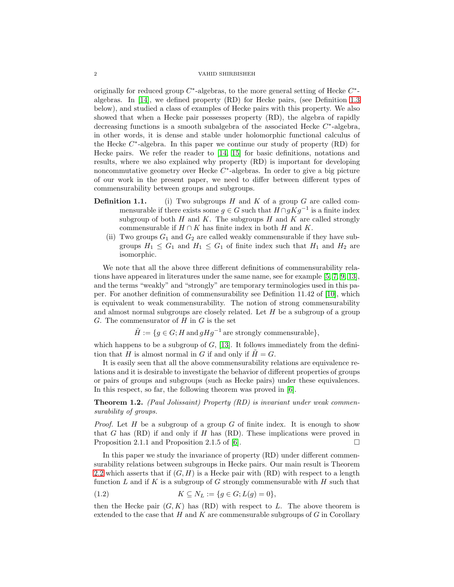originally for reduced group  $C^*$ -algebras, to the more general setting of Hecke  $C^*$ algebras. In [\[14\]](#page-13-0), we defined property (RD) for Hecke pairs, (see Definition [1.3](#page-2-0) below), and studied a class of examples of Hecke pairs with this property. We also showed that when a Hecke pair possesses property (RD), the algebra of rapidly decreasing functions is a smooth subalgebra of the associated Hecke  $C^*$ -algebra, in other words, it is dense and stable under holomorphic functional calculus of the Hecke C ∗ -algebra. In this paper we continue our study of property (RD) for Hecke pairs. We refer the reader to [\[14,](#page-13-0) [15\]](#page-13-2) for basic definitions, notations and results, where we also explained why property (RD) is important for developing noncommutative geometry over Hecke C<sup>\*</sup>-algebras. In order to give a big picture of our work in the present paper, we need to differ between different types of commensurability between groups and subgroups.

- **Definition 1.1.** (i) Two subgroups  $H$  and  $K$  of a group  $G$  are called commensurable if there exists some  $g \in G$  such that  $H \cap gKg^{-1}$  is a finite index subgroup of both  $H$  and  $K$ . The subgroups  $H$  and  $K$  are called strongly commensurable if  $H \cap K$  has finite index in both H and K.
	- (ii) Two groups  $G_1$  and  $G_2$  are called weakly commensurable if they have subgroups  $H_1 \n\leq G_1$  and  $H_1 \n\leq G_1$  of finite index such that  $H_1$  and  $H_2$  are isomorphic.

We note that all the above three different definitions of commensurability relations have appeared in literatures under the same name, see for example [\[5,](#page-13-3) [7,](#page-13-4) [9,](#page-13-5) [13\]](#page-13-6), and the terms "weakly" and "strongly" are temporary terminologies used in this paper. For another definition of commensurability see Definition 11.42 of [\[10\]](#page-13-7), which is equivalent to weak commensurability. The notion of strong commensurability and almost normal subgroups are closely related. Let  $H$  be a subgroup of a group G. The commensurator of  $H$  in  $G$  is the set

 $\tilde{H} := \{ g \in G; H \text{ and } gHg^{-1} \text{ are strongly commensurable} \},\$ 

which happens to be a subgroup of  $G$ , [\[13\]](#page-13-6). It follows immediately from the definition that H is almost normal in G if and only if  $H = G$ .

It is easily seen that all the above commensurability relations are equivalence relations and it is desirable to investigate the behavior of different properties of groups or pairs of groups and subgroups (such as Hecke pairs) under these equivalences. In this respect, so far, the following theorem was proved in [\[6\]](#page-13-8).

<span id="page-1-1"></span>Theorem 1.2. *(Paul Jolissaint) Property (RD) is invariant under weak commensurability of groups.*

*Proof.* Let H be a subgroup of a group G of finite index. It is enough to show that G has  $(RD)$  if and only if H has  $(RD)$ . These implications were proved in Proposition 2.1.1 and Proposition 2.1.5 of [\[6\]](#page-13-8).  $\Box$ 

In this paper we study the invariance of property (RD) under different commensurability relations between subgroups in Hecke pairs. Our main result is Theorem [2.2](#page-3-0) which asserts that if  $(G, H)$  is a Hecke pair with  $(RD)$  with respect to a length function  $L$  and if  $K$  is a subgroup of  $G$  strongly commensurable with  $H$  such that

<span id="page-1-0"></span>(1.2) 
$$
K \subseteq N_L := \{ g \in G; L(g) = 0 \},
$$

then the Hecke pair  $(G, K)$  has  $(RD)$  with respect to L. The above theorem is extended to the case that  $H$  and  $K$  are commensurable subgroups of  $G$  in Corollary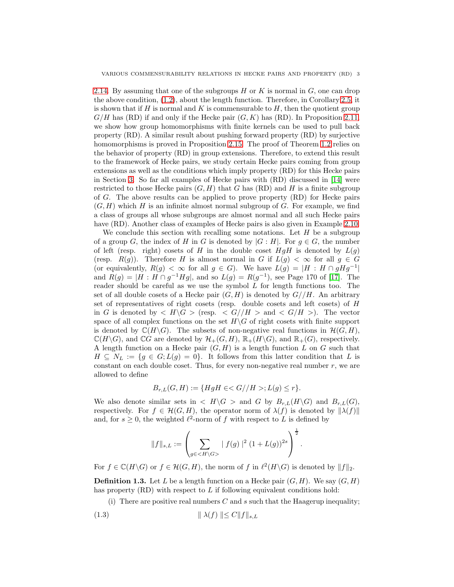[2.14.](#page-8-0) By assuming that one of the subgroups  $H$  or K is normal in  $G$ , one can drop the above condition, [\(1.2\)](#page-1-0), about the length function. Therefore, in Corollary [2.5,](#page-6-0) it is shown that if  $H$  is normal and  $K$  is commensurable to  $H$ , then the quotient group  $G/H$  has (RD) if and only if the Hecke pair  $(G, K)$  has (RD). In Proposition [2.11,](#page-7-0) we show how group homomorphisms with finite kernels can be used to pull back property (RD). A similar result about pushing forward property (RD) by surjective homomorphisms is proved in Proposition [2.15.](#page-8-1) The proof of Theorem [1.2](#page-1-1) relies on the behavior of property (RD) in group extensions. Therefore, to extend this result to the framework of Hecke pairs, we study certain Hecke pairs coming from group extensions as well as the conditions which imply property (RD) for this Hecke pairs in Section [3.](#page-9-0) So far all examples of Hecke pairs with (RD) discussed in [\[14\]](#page-13-0) were restricted to those Hecke pairs  $(G, H)$  that G has (RD) and H is a finite subgroup of G. The above results can be applied to prove property (RD) for Hecke pairs  $(G, H)$  which H is an infinite almost normal subgroup of G. For example, we find a class of groups all whose subgroups are almost normal and all such Hecke pairs have (RD). Another class of examples of Hecke pairs is also given in Example [2.10.](#page-7-1)

We conclude this section with recalling some notations. Let  $H$  be a subgroup of a group G, the index of H in G is denoted by  $|G : H|$ . For  $q \in G$ , the number of left (resp. right) cosets of H in the double coset  $HqH$  is denoted by  $L(q)$ (resp.  $R(g)$ ). Therefore H is almost normal in G if  $L(g) < \infty$  for all  $g \in G$ (or equivalently,  $R(g) < \infty$  for all  $g \in G$ ). We have  $L(g) = |H : H \cap gHg^{-1}|$ and  $R(g) = |H : H \cap g^{-1}Hg|$ , and so  $L(g) = R(g^{-1})$ , see Page 170 of [\[17\]](#page-13-9). The reader should be careful as we use the symbol  $L$  for length functions too. The set of all double cosets of a Hecke pair  $(G, H)$  is denoted by  $G//H$ . An arbitrary set of representatives of right cosets (resp. double cosets and left cosets) of H in G is denoted by  $\langle H \rangle G >$  (resp.  $\langle G \rangle / H >$  and  $\langle G \rangle / H >$ ). The vector space of all complex functions on the set  $H\backslash G$  of right cosets with finite support is denoted by  $\mathbb{C}(H\backslash G)$ . The subsets of non-negative real functions in  $\mathcal{H}(G,H)$ ,  $\mathbb{C}(H\backslash G)$ , and  $\mathbb{C}G$  are denoted by  $\mathcal{H}_+(G,H)$ ,  $\mathbb{R}_+(H\backslash G)$ , and  $\mathbb{R}_+(G)$ , respectively. A length function on a Hecke pair  $(G, H)$  is a length function L on G such that  $H \subseteq N_L := \{g \in G; L(g) = 0\}.$  It follows from this latter condition that L is constant on each double coset. Thus, for every non-negative real number  $r$ , we are allowed to define

$$
B_{r,L}(G,H) := \{ HgH \in G//H >; L(g) \le r \}.
$$

We also denote similar sets in  $\langle H \rangle G$  and G by  $B_{r,L}(H \rangle G)$  and  $B_{r,L}(G)$ , respectively. For  $f \in \mathcal{H}(G, H)$ , the operator norm of  $\lambda(f)$  is denoted by  $\|\lambda(f)\|$ and, for  $s \geq 0$ , the weighted  $\ell^2$ -norm of f with respect to L is defined by

$$
\|f\|_{s,L}:=\left(\sum_{g\in } \mid f(g)\mid^2 (1+L(g))^{2s}\right)^{\frac{1}{2}}
$$

.

For  $f \in \mathbb{C}(H \backslash G)$  or  $f \in \mathcal{H}(G, H)$ , the norm of f in  $\ell^2(H \backslash G)$  is denoted by  $||f||_2$ .

<span id="page-2-0"></span>**Definition 1.3.** Let L be a length function on a Hecke pair  $(G, H)$ . We say  $(G, H)$ has property  $(RD)$  with respect to L if following equivalent conditions hold:

(i) There are positive real numbers  $C$  and  $s$  such that the Haagerup inequality;

$$
(1.3) \t\t\t\t \|\lambda(f)\| \le C \|f\|_{s,L}
$$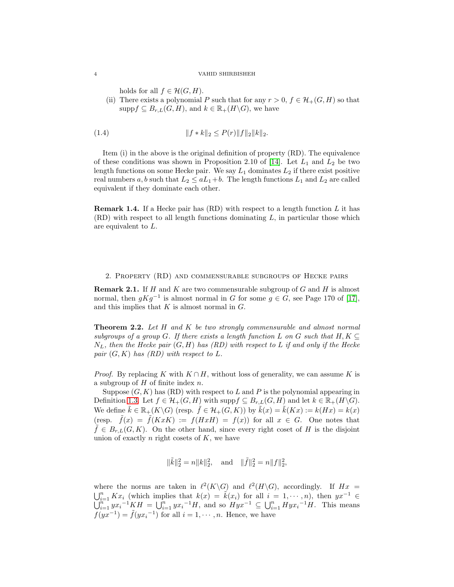holds for all  $f \in \mathcal{H}(G,H)$ .

(ii) There exists a polynomial P such that for any  $r > 0$ ,  $f \in \mathcal{H}_+(G, H)$  so that supp $f \subseteq B_{r,L}(G,H)$ , and  $k \in \mathbb{R}_+(H\backslash G)$ , we have

(1.4) 
$$
||f * k||_2 \leq P(r)||f||_2||k||_2.
$$

Item (i) in the above is the original definition of property (RD). The equivalence of these conditions was shown in Proposition 2.10 of [\[14\]](#page-13-0). Let  $L_1$  and  $L_2$  be two length functions on some Hecke pair. We say  $L_1$  dominates  $L_2$  if there exist positive real numbers a, b such that  $L_2 \leq aL_1+b$ . The length functions  $L_1$  and  $L_2$  are called equivalent if they dominate each other.

**Remark 1.4.** If a Hecke pair has  $(RD)$  with respect to a length function L it has  $(RD)$  with respect to all length functions dominating  $L$ , in particular those which are equivalent to L.

## 2. Property (RD) and commensurable subgroups of Hecke pairs

**Remark 2.1.** If H and K are two commensurable subgroup of G and H is almost normal, then  $gKg^{-1}$  is almost normal in G for some  $g \in G$ , see Page 170 of [\[17\]](#page-13-9), and this implies that  $K$  is almost normal in  $G$ .

<span id="page-3-0"></span>Theorem 2.2. *Let* H *and* K *be two strongly commensurable and almost normal subgroups of a group* G. If there exists a length function L on G such that  $H, K \subseteq$ NL*, then the Hecke pair* (G, H) *has (RD) with respect to* L *if and only if the Hecke pair*  $(G, K)$  *has*  $(RD)$  *with respect to L.* 

*Proof.* By replacing K with  $K \cap H$ , without loss of generality, we can assume K is a subgroup of  $H$  of finite index  $n$ .

Suppose  $(G, K)$  has  $(RD)$  with respect to L and P is the polynomial appearing in Definition [1.3.](#page-2-0) Let  $f \in \mathcal{H}_+(G,H)$  with supp $f \subseteq B_{r,L}(G,H)$  and let  $k \in \mathbb{R}_+(H\backslash G)$ . We define  $k \in \mathbb{R}_+(K\backslash G)$  (resp.  $\hat{f} \in \mathcal{H}_+(G,K)$ ) by  $\hat{k}(x) = \hat{k}(Kx) := k(Hx) = k(x)$ (resp.  $\tilde{f}(x) = \tilde{f}(KxK) := f(HxH) = f(x)$ ) for all  $x \in G$ . One notes that  $\tilde{f} \in B_{r,L}(G, K)$ . On the other hand, since every right coset of H is the disjoint union of exactly  $n$  right cosets of  $K$ , we have

$$
\|\tilde{k}\|_2^2 = n \|k\|_2^2, \quad \text{and} \quad \|\tilde{f}\|_2^2 = n \|f\|_2^2,
$$

where the norms are taken in  $\ell^2(K\backslash G)$  and  $\ell^2(H\backslash G)$ , accordingly. If  $Hx =$  $\bigcup_{i=1}^n Kx_i$  (which implies that  $k(x) = \tilde{k}(x_i)$  for all  $i = 1, \dots, n$ ), then  $yx^{-1} \in$  $\bigcup_{i=1}^{n} yx_i^{-1}KH = \bigcup_{i=1}^{n} yx_i^{-1}H$ , and so  $Hyx^{-1} \subseteq \bigcup_{i=1}^{n} Hyx_i^{-1}H$ . This means  $f(yx^{-1}) = \tilde{f}(yx_i^{-1})$  for all  $i = 1, \dots, n$ . Hence, we have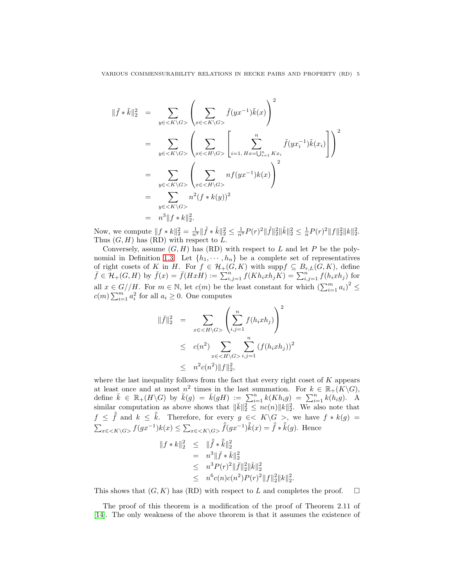VARIOUS COMMENSURABILITY RELATIONS IN HECKE PAIRS AND PROPERTY (RD) 5

$$
\begin{split}\n\|\tilde{f} * \tilde{k}\|_{2}^{2} &= \sum_{y \in \langle K \setminus G \rangle} \left( \sum_{x \in \langle K \setminus G \rangle} \tilde{f}(yx^{-1})\tilde{k}(x) \right)^{2} \\
&= \sum_{y \in \langle K \setminus G \rangle} \left( \sum_{x \in \langle H \setminus G \rangle} \left[ \sum_{i=1, Hx = \bigcup_{i=1}^{n} Kx_{i}} \tilde{f}(yx_{i}^{-1})\tilde{k}(x_{i}) \right] \right)^{2} \\
&= \sum_{y \in \langle K \setminus G \rangle} \left( \sum_{x \in \langle H \setminus G \rangle} nf(yx^{-1})k(x) \right)^{2} \\
&= \sum_{y \in \langle K \setminus G \rangle} n^{2}(f * k(y))^{2} \\
&= n^{3} \|f * k\|_{2}^{2}.\n\end{split}
$$

Now, we compute  $||f * k||_2^2 = \frac{1}{n^3} ||\tilde{f} * \tilde{k}||_2^2 \le \frac{1}{n^3} P(r)^2 ||\tilde{f}||_2^2 ||\tilde{k}||_2^2 \le \frac{1}{n} P(r)^2 ||f||_2^2 ||k||_2^2.$ Thus  $(G, H)$  has  $(RD)$  with respect to L.

Conversely, assume  $(G, H)$  has  $(RD)$  with respect to L and let P be the poly-nomial in Definition [1.3.](#page-2-0) Let  $\{h_1, \dots, h_n\}$  be a complete set of representatives of right cosets of K in H. For  $f \in \mathcal{H}_+(G,K)$  with supp $f \subseteq B_{r,L}(G,K)$ , define  $\bar{f} \in \mathcal{H}_+(G,H)$  by  $\bar{f}(x) = \bar{f}(HxH) := \sum_{i,j=1}^n f(Kh_ixh_jK) = \sum_{i,j=1}^n f(h_ixh_j)$  for all  $x \in G//H$ . For  $m \in \mathbb{N}$ , let  $c(m)$  be the least constant for which  $\left(\sum_{i=1}^{m} a_i\right)^2 \leq$  $c(m) \sum_{i=1}^{m'} a_i^2$  for all  $a_i \geq 0$ . One computes

$$
\|\bar{f}\|_2^2 = \sum_{x \in \langle H \setminus G \rangle} \left( \sum_{i,j=1}^n f(h_i x h_j) \right)^2
$$
  
 
$$
\leq c(n^2) \sum_{x \in \langle H \setminus G \rangle} \sum_{i,j=1}^n (f(h_i x h_j))^2
$$
  
 
$$
\leq n^2 c(n^2) \|f\|_2^2,
$$

where the last inequality follows from the fact that every right coset of  $K$  appears at least once and at most  $n^2$  times in the last summation. For  $k \in \mathbb{R}_+(K\backslash G)$ , define  $\bar{k} \in \mathbb{R}_+(H \backslash G)$  by  $\bar{k}(g) = \bar{k}(gH) := \sum_{i=1}^n k(Kh_i g) = \sum_{i=1}^n k(h_i g)$ . A similar computation as above shows that  $\|\bar{k}\|_2^2 \leq nc(n)\|k\|_2^2$ . We also note that  $f \leq \tilde{f}$  and  $k \leq \tilde{k}$ . Therefore, for every  $g \in K \backslash G >$ , we have  $f * k(g) =$  $\sum_{x \in \langle K \setminus G \rangle} f(gx^{-1})k(x) \leq \sum_{x \in \langle K \setminus G \rangle} \tilde{f}(gx^{-1})\tilde{k}(x) = \tilde{f} * \tilde{k}(g)$ . Hence

$$
||f * k||_2^2 \le ||\tilde{f} * \tilde{k}||_2^2
$$
  
=  $n^3 ||\bar{f} * \bar{k}||_2^2$   
 $\le n^3 P(r)^2 ||\bar{f}||_2^2 ||\bar{k}||_2^2$   
 $\le n^6 c(n)c(n^2)P(r)^2 ||f||_2^2 ||k||_2^2.$ 

This shows that  $(G, K)$  has  $(RD)$  with respect to L and completes the proof.  $\square$ 

The proof of this theorem is a modification of the proof of Theorem 2.11 of [\[14\]](#page-13-0). The only weakness of the above theorem is that it assumes the existence of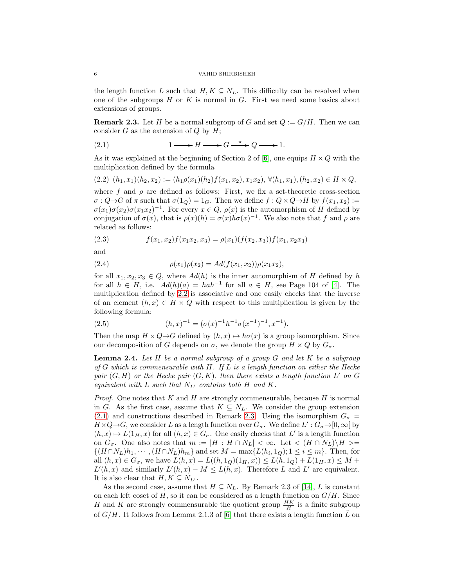the length function L such that  $H, K \subseteq N_L$ . This difficulty can be resolved when one of the subgroups  $H$  or  $K$  is normal in  $G$ . First we need some basics about extensions of groups.

<span id="page-5-2"></span>**Remark 2.3.** Let H be a normal subgroup of G and set  $Q := G/H$ . Then we can consider  $G$  as the extension of  $Q$  by  $H$ ;

<span id="page-5-1"></span>(2.1) 
$$
1 \longrightarrow H \longrightarrow G \xrightarrow{\pi} Q \longrightarrow 1.
$$

As it was explained at the beginning of Section 2 of [\[6\]](#page-13-8), one equips  $H \times Q$  with the multiplication defined by the formula

<span id="page-5-0"></span>
$$
(2.2) (h_1, x_1)(h_2, x_2) := (h_1 \rho(x_1)(h_2) f(x_1, x_2), x_1 x_2), \forall (h_1, x_1), (h_2, x_2) \in H \times Q,
$$

where f and  $\rho$  are defined as follows: First, we fix a set-theoretic cross-section  $\sigma: Q \rightarrow G$  of  $\pi$  such that  $\sigma(1_Q) = 1_G$ . Then we define  $f: Q \times Q \rightarrow H$  by  $f(x_1, x_2) :=$  $\sigma(x_1)\sigma(x_2)\sigma(x_1x_2)^{-1}$ . For every  $x \in Q$ ,  $\rho(x)$  is the automorphism of H defined by conjugation of  $\sigma(x)$ , that is  $\rho(x)(h) = \sigma(x)h\sigma(x)^{-1}$ . We also note that f and  $\rho$  are related as follows:

(2.3) 
$$
f(x_1, x_2)f(x_1x_2, x_3) = \rho(x_1)(f(x_2, x_3))f(x_1, x_2x_3)
$$

and

(2.4) 
$$
\rho(x_1)\rho(x_2) = Ad(f(x_1, x_2))\rho(x_1x_2),
$$

for all  $x_1, x_2, x_3 \in Q$ , where  $Ad(h)$  is the inner automorphism of H defined by h for all  $h \in H$ , i.e.  $Ad(h)(a) = hah^{-1}$  for all  $a \in H$ , see Page 104 of [\[4\]](#page-13-10). The multiplication defined by [2.2](#page-5-0) is associative and one easily checks that the inverse of an element  $(h, x) \in H \times Q$  with respect to this multiplication is given by the following formula:

<span id="page-5-4"></span>(2.5) 
$$
(h,x)^{-1} = (\sigma(x)^{-1}h^{-1}\sigma(x^{-1})^{-1},x^{-1}).
$$

Then the map  $H \times Q \rightarrow G$  defined by  $(h, x) \mapsto h\sigma(x)$  is a group isomorphism. Since our decomposition of G depends on  $\sigma$ , we denote the group  $H \times Q$  by  $G_{\sigma}$ .

<span id="page-5-3"></span>Lemma 2.4. *Let* H *be a normal subgroup of a group* G *and let* K *be a subgroup of* G *which is commensurable with* H*. If* L *is a length function on either the Hecke* pair  $(G, H)$  or the Hecke pair  $(G, K)$ , then there exists a length function  $L'$  on  $G$ *equivalent with*  $L$  *such that*  $N_{L'}$  *contains both*  $H$  *and*  $K$ *.* 

*Proof.* One notes that  $K$  and  $H$  are strongly commensurable, because  $H$  is normal in G. As the first case, assume that  $K \subseteq N_L$ . We consider the group extension [\(2.1\)](#page-5-1) and constructions described in Remark [2.3.](#page-5-2) Using the isomorphism  $G_{\sigma}$  =  $H \times Q \rightarrow G$ , we consider L as a length function over  $G_{\sigma}$ . We define  $L' : G_{\sigma} \rightarrow [0, \infty)$  by  $(h, x) \mapsto L(1_H, x)$  for all  $(h, x) \in G_{\sigma}$ . One easily checks that L' is a length function on  $G_{\sigma}$ . One also notes that  $m := |H : H \cap N_L| < \infty$ . Let  $\langle (H \cap N_L) \rangle H \rangle =$  $\{(H \cap N_L)h_1, \cdots, (H \cap N_L)h_m\}$  and set  $M = \max\{L(h_i, 1_Q); 1 \le i \le m\}$ . Then, for all  $(h, x) \in G_{\sigma}$ , we have  $L(h, x) = L((h, 1_Q)(1_H, x)) \le L(h, 1_Q) + L(1_H, x) \le M +$  $L'(h,x)$  and similarly  $L'(h,x) - M \leq L(h,x)$ . Therefore L and L' are equivalent. It is also clear that  $H, K \subseteq N_{L'}$ .

As the second case, assume that  $H \subseteq N_L$ . By Remark 2.3 of [\[14\]](#page-13-0), L is constant on each left coset of  $H$ , so it can be considered as a length function on  $G/H$ . Since H and K are strongly commensurable the quotient group  $\frac{HK}{H}$  is a finite subgroup of  $G/H$ . It follows from Lemma 2.1.3 of [\[6\]](#page-13-8) that there exists a length function  $\tilde{L}$  on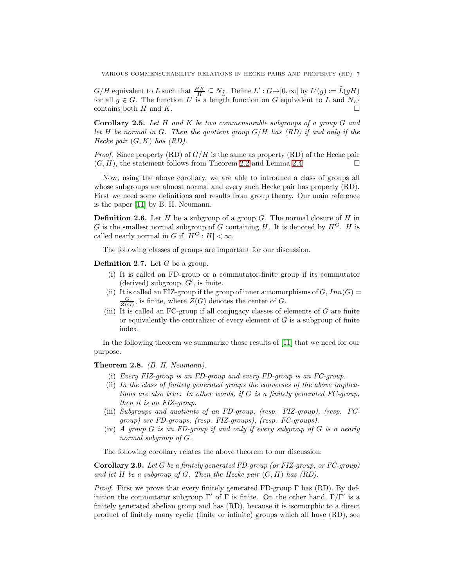$G/H$  equivalent to L such that  $\frac{HK}{H} \subseteq N_{\tilde{L}}$ . Define  $L': G \rightarrow [0, \infty[$  by  $L'(g) := \tilde{L}(gH)$ for all  $g \in G$ . The function L' is a length function on G equivalent to L and  $N_{L'}$ contains both H and K.

<span id="page-6-0"></span>Corollary 2.5. *Let* H *and* K *be two commensurable subgroups of a group* G *and let* H *be normal in* G*. Then the quotient group* G/H *has (RD) if and only if the Hecke pair* (G, K) *has (RD).*

*Proof.* Since property (RD) of  $G/H$  is the same as property (RD) of the Hecke pair  $(G, H)$ , the statement follows from Theorem [2.2](#page-3-0) and Lemma [2.4.](#page-5-3)

Now, using the above corollary, we are able to introduce a class of groups all whose subgroups are almost normal and every such Hecke pair has property (RD). First we need some definitions and results from group theory. Our main reference is the paper [\[11\]](#page-13-11) by B. H. Neumann.

**Definition 2.6.** Let H be a subgroup of a group G. The normal closure of H in G is the smallest normal subgroup of G containing H. It is denoted by  $H^G$ . H is called nearly normal in G if  $|H^G : H| < \infty$ .

The following classes of groups are important for our discussion.

**Definition 2.7.** Let  $G$  be a group.

- (i) It is called an FD-group or a commutator-finite group if its commutator (derived) subgroup,  $G'$ , is finite.
- (ii) It is called an FIZ-group if the group of inner automorphisms of  $G, Inn(G)$  $\frac{G}{Z(G)}$ , is finite, where  $Z(G)$  denotes the center of G.
- (iii) It is called an FC-group if all conjugacy classes of elements of  $G$  are finite or equivalently the centralizer of every element of  $G$  is a subgroup of finite index.

In the following theorem we summarize those results of [\[11\]](#page-13-11) that we need for our purpose.

Theorem 2.8. *(B. H. Neumann).*

- (i) *Every FIZ-group is an FD-group and every FD-group is an FC-group.*
- (ii) *In the class of finitely generated groups the converses of the above implications are also true. In other words, if* G *is a finitely generated FC-group, then it is an FIZ-group.*
- (iii) *Subgroups and quotients of an FD-group, (resp. FIZ-group), (resp. FCgroup) are FD-groups, (resp. FIZ-groups), (resp. FC-groups).*
- (iv) *A group* G *is an FD-group if and only if every subgroup of* G *is a nearly normal subgroup of* G*.*

The following corollary relates the above theorem to our discussion:

Corollary 2.9. *Let* G *be a finitely generated FD-group (or FIZ-group, or FC-group) and let* H *be a subgroup of* G*. Then the Hecke pair* (G, H) *has (RD).*

*Proof.* First we prove that every finitely generated FD-group  $\Gamma$  has (RD). By definition the commutator subgroup  $\Gamma'$  of  $\Gamma$  is finite. On the other hand,  $\Gamma/\Gamma'$  is a finitely generated abelian group and has (RD), because it is isomorphic to a direct product of finitely many cyclic (finite or infinite) groups which all have (RD), see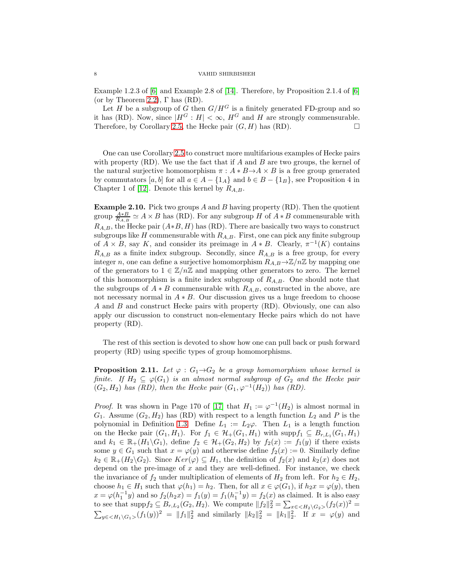Example 1.2.3 of [\[6\]](#page-13-8) and Example 2.8 of [\[14\]](#page-13-0). Therefore, by Proposition 2.1.4 of [\[6\]](#page-13-8) (or by Theorem [2.2\)](#page-3-0),  $\Gamma$  has (RD).

Let H be a subgroup of G then  $G/H^G$  is a finitely generated FD-group and so it has (RD). Now, since  $|H^G : H| < \infty$ ,  $H^G$  and H are strongly commensurable. Therefore, by Corollary [2.5,](#page-6-0) the Hecke pair  $(G, H)$  has  $(RD)$ .

One can use Corollary [2.5](#page-6-0) to construct more multifarious examples of Hecke pairs with property  $(RD)$ . We use the fact that if A and B are two groups, the kernel of the natural surjective homomorphism  $\pi : A * B \to A \times B$  is a free group generated by commutators [a, b] for all  $a \in A - \{1_A\}$  and  $b \in B - \{1_B\}$ , see Proposition 4 in Chapter 1 of [\[12\]](#page-13-12). Denote this kernel by  $R_{A,B}$ .

<span id="page-7-1"></span>**Example 2.10.** Pick two groups A and B having property (RD). Then the quotient group  $\frac{A*B}{R_{A,B}} \simeq A \times B$  has (RD). For any subgroup H of  $A*B$  commensurable with  $R_{A,B}$ , the Hecke pair  $(A*B, H)$  has (RD). There are basically two ways to construct subgroups like H commensurable with  $R_{A,B}$ . First, one can pick any finite subgroup of  $A \times B$ , say K, and consider its preimage in  $A * B$ . Clearly,  $\pi^{-1}(K)$  contains  $R_{A,B}$  as a finite index subgroup. Secondly, since  $R_{A,B}$  is a free group, for every integer n, one can define a surjective homomorphism  $R_{A,B} \rightarrow \mathbb{Z}/n\mathbb{Z}$  by mapping one of the generators to  $1 \in \mathbb{Z}/n\mathbb{Z}$  and mapping other generators to zero. The kernel of this homomorphism is a finite index subgroup of  $R_{A,B}$ . One should note that the subgroups of  $A * B$  commensurable with  $R_{A,B}$ , constructed in the above, are not necessary normal in  $A * B$ . Our discussion gives us a huge freedom to choose A and B and construct Hecke pairs with property (RD). Obviously, one can also apply our discussion to construct non-elementary Hecke pairs which do not have property (RD).

The rest of this section is devoted to show how one can pull back or push forward property (RD) using specific types of group homomorphisms.

<span id="page-7-0"></span>**Proposition 2.11.** Let  $\varphi$  :  $G_1 \rightarrow G_2$  be a group homomorphism whose kernel is *finite.* If  $H_2 \subseteq \varphi(G_1)$  *is an almost normal subgroup of*  $G_2$  *and the Hecke pair*  $(G_2, H_2)$  *has (RD), then the Hecke pair*  $(G_1, \varphi^{-1}(H_2))$  *has (RD).* 

*Proof.* It was shown in Page 170 of [\[17\]](#page-13-9) that  $H_1 := \varphi^{-1}(H_2)$  is almost normal in  $G_1$ . Assume  $(G_2, H_2)$  has (RD) with respect to a length function  $L_2$  and P is the polynomial in Definition [1.3.](#page-2-0) Define  $L_1 := L_2\varphi$ . Then  $L_1$  is a length function on the Hecke pair  $(G_1, H_1)$ . For  $f_1 \in \mathcal{H}_+(G_1, H_1)$  with  $\text{supp} f_1 \subseteq B_{r,L_1}(G_1, H_1)$ and  $k_1 \in \mathbb{R}_+(H_1 \backslash G_1)$ , define  $f_2 \in \mathcal{H}_+(G_2, H_2)$  by  $f_2(x) := f_1(y)$  if there exists some  $y \in G_1$  such that  $x = \varphi(y)$  and otherwise define  $f_2(x) := 0$ . Similarly define  $k_2 \in \mathbb{R}_+(H_2\backslash G_2)$ . Since  $Ker(\varphi) \subseteq H_1$ , the definition of  $f_2(x)$  and  $k_2(x)$  does not depend on the pre-image of  $x$  and they are well-defined. For instance, we check the invariance of  $f_2$  under multiplication of elements of  $H_2$  from left. For  $h_2 \in H_2$ , choose  $h_1 \in H_1$  such that  $\varphi(h_1) = h_2$ . Then, for all  $x \in \varphi(G_1)$ , if  $h_2 x = \varphi(y)$ , then  $x = \varphi(h_1^{-1}y)$  and so  $f_2(h_2x) = f_1(y) = f_1(h_1^{-1}y) = f_2(x)$  as claimed. It is also easy to see that  $\text{supp} f_2 \subseteq B_{r,L_2}(G_2, H_2)$ . We compute  $||f_2||_2^2 = \sum_{x \in \langle H_2 \setminus G_2 \rangle} (f_2(x))^2 =$  $\sum_{y \in \langle H_1 \setminus G_1 \rangle}(f_1(y))^2 = ||f_1||_2^2$  and similarly  $||k_2||_2^2 = ||k_1||_2^2$ . If  $x = \varphi(y)$  and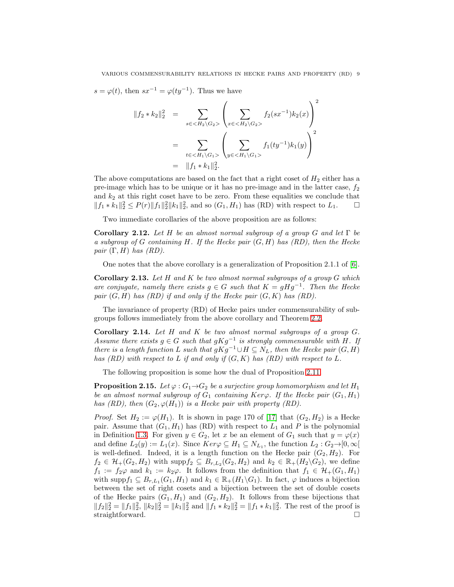$s = \varphi(t)$ , then  $sx^{-1} = \varphi(ty^{-1})$ . Thus we have

$$
||f_2 * k_2||_2^2 = \sum_{s \in \langle H_2 \setminus G_2 \rangle} \left( \sum_{x \in \langle H_2 \setminus G_2 \rangle} f_2(sx^{-1}) k_2(x) \right)^2
$$
  
= 
$$
\sum_{t \in \langle H_1 \setminus G_1 \rangle} \left( \sum_{y \in \langle H_1 \setminus G_1 \rangle} f_1(ty^{-1}) k_1(y) \right)^2
$$
  
= 
$$
||f_1 * k_1||_2^2.
$$

The above computations are based on the fact that a right coset of  $H_2$  either has a pre-image which has to be unique or it has no pre-image and in the latter case,  $f_2$ and  $k_2$  at this right coset have to be zero. From these equalities we conclude that  $||f_1 * k_1||_2^2 \le P(r) ||f_1||_2^2 ||k_1||_2^2$ , and so  $(G_1, H_1)$  has (RD) with respect to  $L_1$ . □

Two immediate corollaries of the above proposition are as follows:

Corollary 2.12. *Let* H *be an almost normal subgroup of a group* G *and let* Γ *be a subgroup of* G *containing* H*. If the Hecke pair* (G, H) *has (RD), then the Hecke pair* (Γ, H) *has (RD).*

One notes that the above corollary is a generalization of Proposition 2.1.1 of [\[6\]](#page-13-8).

Corollary 2.13. *Let* H *and* K *be two almost normal subgroups of a group* G *which are conjugate, namely there exists*  $g \in G$  *such that*  $K = gHg^{-1}$ . Then the Hecke *pair* (G, H) *has (RD) if and only if the Hecke pair* (G, K) *has (RD).*

The invariance of property (RD) of Hecke pairs under commensurability of subgroups follows immediately from the above corollary and Theorem [2.2.](#page-3-0)

<span id="page-8-0"></span>Corollary 2.14. *Let* H *and* K *be two almost normal subgroups of a group* G*. Assume there exists*  $g \in G$  *such that*  $gKg^{-1}$  *is strongly commensurable with* H. If *there is a length function* L *such that*  $gKg^{-1} \cup H \subseteq N_L$ , *then the Hecke pair*  $(G, H)$ *has (RD) with respect to* L *if and only if* (G, K) *has (RD) with respect to* L*.*

The following proposition is some how the dual of Proposition [2.11.](#page-7-0)

<span id="page-8-1"></span>**Proposition 2.15.** *Let*  $\varphi$  :  $G_1 \rightarrow G_2$  *be a surjective group homomorphism and let*  $H_1$ *be an almost normal subgroup of*  $G_1$  *containing*  $Ker\varphi$ *. If the Hecke pair*  $(G_1, H_1)$ *has (RD), then*  $(G_2, \varphi(H_1))$  *is a Hecke pair with property (RD).* 

*Proof.* Set  $H_2 := \varphi(H_1)$ . It is shown in page 170 of [\[17\]](#page-13-9) that  $(G_2, H_2)$  is a Hecke pair. Assume that  $(G_1, H_1)$  has (RD) with respect to  $L_1$  and P is the polynomial in Definition [1.3.](#page-2-0) For given  $y \in G_2$ , let x be an element of  $G_1$  such that  $y = \varphi(x)$ and define  $L_2(y) := L_1(x)$ . Since  $Ker\varphi \subseteq H_1 \subseteq N_{L_1}$ , the function  $L_2: G_2 \rightarrow [0, \infty[$ is well-defined. Indeed, it is a length function on the Hecke pair  $(G_2, H_2)$ . For  $f_2 \in \mathcal{H}_+(G_2, H_2)$  with supp $f_2 \subseteq B_{r,L_2}(G_2, H_2)$  and  $k_2 \in \mathbb{R}_+(H_2\backslash G_2)$ , we define  $f_1 := f_2\varphi$  and  $k_1 := k_2\varphi$ . It follows from the definition that  $f_1 \in \mathcal{H}_+(G_1, H_1)$ with supp $f_1 \subseteq B_{r,L_1}(G_1, H_1)$  and  $k_1 \in \mathbb{R}_+(H_1 \backslash G_1)$ . In fact,  $\varphi$  induces a bijection between the set of right cosets and a bijection between the set of double cosets of the Hecke pairs  $(G_1, H_1)$  and  $(G_2, H_2)$ . It follows from these bijections that  $||f_2||_2^2 = ||f_1||_2^2$ ,  $||k_2||_2^2 = ||k_1||_2^2$  and  $||f_1 * k_2||_2^2 = ||f_1 * k_1||_2^2$ . The rest of the proof is straightforward.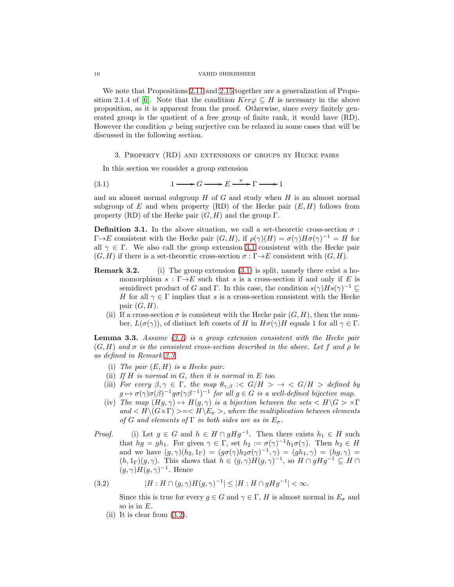We note that Propositions [2.11](#page-7-0) and [2.15](#page-8-1) together are a generalization of Propo-sition 2.1.4 of [\[6\]](#page-13-8). Note that the condition  $Ker\varphi \subseteq H$  is necessary in the above proposition, as it is apparent from the proof. Otherwise, since every finitely generated group is the quotient of a free group of finite rank, it would have (RD). However the condition  $\varphi$  being surjective can be relaxed in some cases that will be discussed in the following section.

## <span id="page-9-1"></span><span id="page-9-0"></span>3. Property (RD) and extensions of groups by Hecke pairs

In this section we consider a group extension

$$
(3.1) \t1 \longrightarrow G \longrightarrow E \stackrel{\pi}{\longrightarrow} \Gamma \longrightarrow 1
$$

and an almost normal subgroup  $H$  of  $G$  and study when  $H$  is an almost normal subgroup of E and when property (RD) of the Hecke pair  $(E, H)$  follows from property (RD) of the Hecke pair  $(G, H)$  and the group  $\Gamma$ .

**Definition 3.1.** In the above situation, we call a set-theoretic cross-section  $\sigma$ :  $\Gamma \rightarrow E$  consistent with the Hecke pair  $(G, H)$ , if  $\rho(\gamma)(H) = \sigma(\gamma)H\sigma(\gamma)^{-1} = H$  for all  $\gamma \in \Gamma$ . We also call the group extension [3.1](#page-9-1) consistent with the Hecke pair  $(G, H)$  if there is a set-theoretic cross-section  $\sigma : \Gamma \rightarrow E$  consistent with  $(G, H)$ .

- **Remark 3.2.** (i) The group extension  $(3.1)$  is split, namely there exist a homomorphism  $s : \Gamma \rightarrow E$  such that s is a cross-section if and only if E is semidirect product of G and Γ. In this case, the condition  $s(\gamma)Hs(\gamma)^{-1} \subseteq$ H for all  $\gamma \in \Gamma$  implies that s is a cross-section consistent with the Hecke pair  $(G, H)$ .
	- (ii) If a cross-section  $\sigma$  is consistent with the Hecke pair  $(G, H)$ , then the number,  $L(\sigma(\gamma))$ , of distinct left cosets of H in  $H\sigma(\gamma)H$  equals 1 for all  $\gamma \in \Gamma$ .

<span id="page-9-3"></span>Lemma 3.3. *Assume [\(3.1\)](#page-9-1) is a group extension consistent with the Hecke pair*  $(G, H)$  *and*  $\sigma$  *is the consistent cross-section described in the above. Let* f *and*  $\rho$  *be as defined in Remark [2.3.](#page-5-2)*

- (i) *The pair* (E, H) *is a Hecke pair.*
- (ii) *If* H *is normal in* G*, then it is normal in* E *too.*
- (iii) *For every*  $\beta, \gamma \in \Gamma$ , the map  $\theta_{\gamma,\beta}$  :<  $G/H > \rightarrow$  <  $G/H >$  defined by  $g \mapsto \sigma(\gamma) \sigma(\beta)^{-1} g \sigma(\gamma \beta^{-1})^{-1}$  for all  $g \in G$  is a well-defined bijective map.
- (iv) The map  $(Hg, \gamma) \mapsto H(g, \gamma)$  is a bijection between the sets  $\langle H \rangle G > \gamma \Gamma$  $and < H \setminus (G \times \Gamma) > = < H \setminus E_{\sigma} >$ , where the multiplication between elements *of* G and elements of  $\Gamma$  *in both sides are as in*  $E_{\sigma}$ .

*Proof.* (i) Let  $g \in G$  and  $h \in H \cap gHg^{-1}$ . Then there exists  $h_1 \in H$  such that  $hg = gh_1$ . For given  $\gamma \in \Gamma$ , set  $h_2 := \sigma(\gamma)^{-1}h_1\sigma(\gamma)$ . Then  $h_2 \in H$ and we have  $(g, \gamma)(h_2, 1_\Gamma) = (g\sigma(\gamma)h_2\sigma(\gamma)^{-1}, \gamma) = (gh_1, \gamma) = (hg, \gamma) =$  $(h,1_\Gamma)(g,\gamma)$ . This shows that  $h \in (g,\gamma)H(g,\gamma)^{-1}$ , so  $H \cap gHg^{-1} \subseteq H \cap$  $(g, \gamma)H(g, \gamma)^{-1}$ . Hence

(3.2) 
$$
|H: H \cap (g, \gamma)H(g, \gamma)^{-1}| \leq |H: H \cap gHg^{-1}| < \infty.
$$

<span id="page-9-2"></span>Since this is true for every  $g \in G$  and  $\gamma \in \Gamma$ , H is almost normal in  $E_{\sigma}$  and so is in  $E$ .

(ii) It is clear from [\(3.2\)](#page-9-2).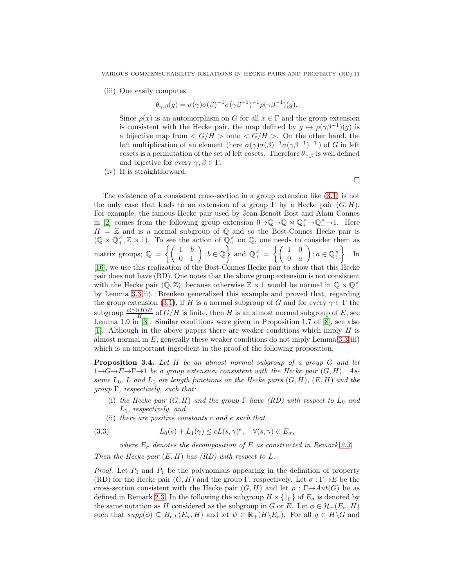(iii) One easily computes

$$
\theta_{\gamma,\beta}(g) = \sigma(\gamma)\sigma(\beta)^{-1}\sigma(\gamma\beta^{-1})^{-1}\rho(\gamma\beta^{-1})(g).
$$

Since  $\rho(x)$  is an automorphism on G for all  $x \in \Gamma$  and the group extension is consistent with the Hecke pair, the map defined by  $g \mapsto \rho(\gamma \beta^{-1})(g)$  is a bijective map from  $\langle G/H \rangle$  onto  $\langle G/H \rangle$ . On the other hand, the left multiplication of an element (here  $\sigma(\gamma)\sigma(\beta)^{-1}\sigma(\gamma\beta^{-1})^{-1}$ ) of G in left cosets is a permutation of the set of left cosets. Therefore  $\theta_{\gamma,\beta}$  is well defined and bijective for every  $\gamma, \beta \in \Gamma$ .

(iv) It is straightforward.

 $\Box$ 

The existence of a consistent cross-section in a group extension like [\(3.1\)](#page-9-1) is not the only case that leads to an extension of a group  $\Gamma$  by a Hecke pair  $(G, H)$ . For example, the famous Hecke pair used by Jean-Benoît Bost and Alain Connes in [\[2\]](#page-13-1) comes from the following group extension  $0 \to \mathbb{Q} \to \mathbb{Q} \rtimes \mathbb{Q}_+^{\times} \to \mathbb{Q}_+^{\times} \to 1$ . Here  $H = \mathbb{Z}$  and is a normal subgroup of  $\mathbb{Q}$  and so the Bost-Connes Hecke pair is  $(\mathbb{Q} \rtimes \mathbb{Q}_+^{\times}, \mathbb{Z} \rtimes 1)$ . To see the action of  $\mathbb{Q}_+^{\times}$  on  $\mathbb{Q}$ , one needs to consider them as matrix groups;  $\mathbb{Q} = \left\{ \begin{pmatrix} 1 & b \\ 0 & 1 \end{pmatrix}; b \in \mathbb{Q} \right\}$  and  $\mathbb{Q}_{+}^{\times} = \left\{ \begin{pmatrix} 1 & 0 \\ 0 & a \end{pmatrix} \right\}$  $0 \quad a$  $\Big)$  ;  $a \in \mathbb{Q}_+^{\times}$  $\Big\}$ . In [\[16\]](#page-13-13), we use this realization of the Bost-Connes Hecke pair to show that this Hecke pair does not have (RD). One notes that the above group extension is not consistent with the Hecke pair  $(\mathbb{Q}, \mathbb{Z})$ , because otherwise  $\mathbb{Z} \rtimes 1$  would be normal in  $\mathbb{Q} \rtimes \mathbb{Q}_+^{\times}$ by Lemma [3.3\(](#page-9-3)ii). Brenken generalized this example and proved that, regarding the group extension [\(3.1\)](#page-9-1), if H is a normal subgroup of G and for every  $\gamma \in \Gamma$  the subgroup  $\frac{\rho(\gamma)(H)H}{H}$  of  $G/H$  is finite, then H is an almost normal subgroup of E, see Lemma 1.9 in [\[3\]](#page-13-14). Similar conditions were given in Proposition 1.7 of [\[8\]](#page-13-15), see also [\[1\]](#page-13-16). Although in the above papers there are weaker conditions which imply  $H$  is almost normal in  $E$ , generally these weaker conditions do not imply Lemma [3.3\(](#page-9-3)iii)

<span id="page-10-1"></span>Proposition 3.4. *Let* H *be an almost normal subgroup of a group* G *and let*  $1 \rightarrow G \rightarrow E \rightarrow \Gamma \rightarrow 1$  *be a group extension consistent with the Hecke pair*  $(G, H)$ *. Assume*  $L_0$ ,  $L$  *and*  $L_1$  *are length functions on the Hecke pairs*  $(G, H)$ ,  $(E, H)$  *and the group* Γ*, respectively, such that:*

which is an important ingredient in the proof of the following proposition.

- (i) *the Hecke pair*  $(G, H)$  *and the group*  $\Gamma$  *have*  $(RD)$  *with respect to*  $L_0$  *and* L1*, respectively, and*
- <span id="page-10-0"></span>(ii) *there are positive constants* c *and* e *such that*

(3.3) 
$$
L_0(s) + L_1(\gamma) \le cL(s, \gamma)^e, \quad \forall (s, \gamma) \in E_{\sigma},
$$

*where*  $E_{\sigma}$  *denotes the decomposition of* E *as constructed in Remark [2.3.](#page-5-2) Then the Hecke pair* (E, H) *has (RD) with respect to* L*.*

*Proof.* Let  $P_0$  and  $P_1$  be the polynomials appearing in the definition of property (RD) for the Hecke pair  $(G, H)$  and the group Γ, respectively. Let  $\sigma : \Gamma \rightarrow E$  be the cross-section consistent with the Hecke pair  $(G, H)$  and let  $\rho : \Gamma \rightarrow Aut(G)$  be as defined in Remark [2.3.](#page-5-2) In the following the subgroup  $H \times \{1_{\Gamma}\}\$  of  $E_{\sigma}$  is denoted by the same notation as H considered as the subgroup in G or E. Let  $\phi \in \mathcal{H}_+(E_\sigma, H)$ such that  $supp(\phi) \subseteq B_{r,L}(E_{\sigma}, H)$  and let  $\psi \in \mathbb{R}_+(H \backslash E_{\sigma})$ . For all  $g \in H \backslash G$  and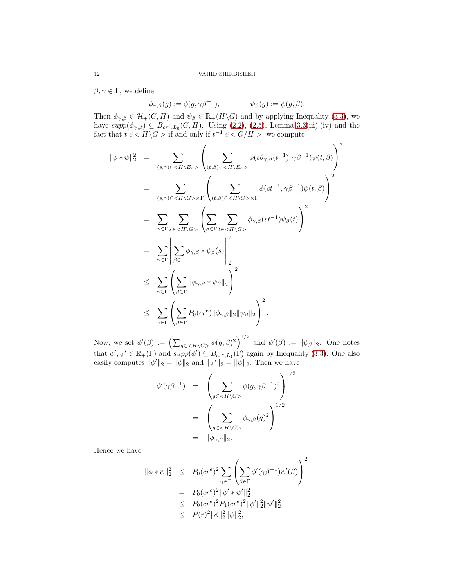$\beta, \gamma \in \Gamma$ , we define

$$
\phi_{\gamma,\beta}(g) := \phi(g, \gamma \beta^{-1}), \qquad \psi_{\beta}(g) := \psi(g, \beta).
$$

Then  $\phi_{\gamma,\beta} \in \mathcal{H}_+(G,H)$  and  $\psi_{\beta} \in \mathbb{R}_+(H \backslash G)$  and by applying Inequality [\(3.3\)](#page-10-0), we have  $supp(\phi_{\gamma,\beta}) \subseteq B_{cr^e,L_0}(G,H)$ . Using [\(2.2\)](#page-5-0), [\(2.5\)](#page-5-4), Lemma [3.3\(](#page-9-3)iii),(iv) and the fact that  $t \in \mathbb{R} \setminus G > 0$  if and only if  $t^{-1} \in \mathbb{R} \setminus G / H > 0$ , we compute

$$
\|\phi * \psi\|_{2}^{2} = \sum_{(s,\gamma)\in\langle H\setminus E_{\sigma}\rangle} \left( \sum_{(t,\beta)\in\langle H\setminus E_{\sigma}\rangle} \phi(s\theta_{\gamma,\beta}(t^{-1}), \gamma\beta^{-1})\psi(t,\beta) \right)^{2}
$$
  
\n
$$
= \sum_{(s,\gamma)\in\langle H\setminus G\rangle\times\Gamma} \left( \sum_{(t,\beta)\in\langle H\setminus G\rangle\times\Gamma} \phi(st^{-1}, \gamma\beta^{-1})\psi(t,\beta) \right)^{2}
$$
  
\n
$$
= \sum_{\gamma\in\Gamma} \sum_{s\in\langle H\setminus G\rangle} \left( \sum_{\beta\in\Gamma} \sum_{t\in\langle H\setminus G\rangle} \phi_{\gamma,\beta}(st^{-1})\psi_{\beta}(t) \right)^{2}
$$
  
\n
$$
= \sum_{\gamma\in\Gamma} \left| \sum_{\beta\in\Gamma} \phi_{\gamma,\beta} * \psi_{\beta}(s) \right|_{2}^{2}
$$
  
\n
$$
\leq \sum_{\gamma\in\Gamma} \left( \sum_{\beta\in\Gamma} \|\phi_{\gamma,\beta} * \psi_{\beta}\|_{2} \right)^{2}
$$
  
\n
$$
\leq \sum_{\gamma\in\Gamma} \left( \sum_{\beta\in\Gamma} P_{0}(cr^{e}) \|\phi_{\gamma,\beta}\|_{2} \|\psi_{\beta}\|_{2} \right)^{2}.
$$

Now, we set  $\phi'(\beta) := \left(\sum_{g \in \langle H \setminus G \rangle} \phi(g, \beta)^2\right)^{1/2}$  and  $\psi'(\beta) := ||\psi_{\beta}||_2$ . One notes that  $\phi', \psi' \in \mathbb{R}_+(\Gamma)$  and  $supp(\phi') \subseteq B_{cr^e, L_1}(\Gamma)$  again by Inequality [\(3.3\)](#page-10-0). One also easily computes  $\|\phi'\|_2 = \|\phi\|_2$  and  $\|\psi'\|_2 = \|\psi\|_2$ . Then we have

$$
\begin{array}{rcl}\n\phi'(\gamma\beta^{-1}) & = & \left(\sum_{g \in \langle H \setminus G \rangle} \phi(g, \gamma\beta^{-1})^2\right)^{1/2} \\
& = & \left(\sum_{g \in \langle H \setminus G \rangle} \phi_{\gamma, \beta}(g)^2\right)^{1/2} \\
& = & \|\phi_{\gamma, \beta}\|_2.\n\end{array}
$$

Hence we have

$$
\begin{array}{rcl}\n\|\phi * \psi\|_2^2 & \leq & P_0(c r^e)^2 \sum_{\gamma \in \Gamma} \left( \sum_{\beta \in \Gamma} \phi'(\gamma \beta^{-1}) \psi'(\beta) \right)^2 \\
& = & P_0(c r^e)^2 \|\phi' * \psi'\|_2^2 \\
& \leq & P_0(c r^e)^2 P_1(c r^e)^2 \|\phi'\|_2^2 \|\psi'\|_2^2 \\
& \leq & P(r)^2 \|\phi\|_2^2 \|\psi\|_2^2,\n\end{array}
$$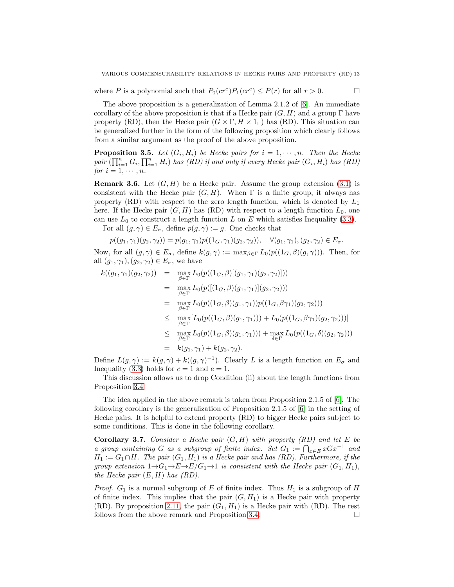where P is a polynomial such that  $P_0(c r^e) P_1(c r^e) \le P(r)$  for all  $r > 0$ .

The above proposition is a generalization of Lemma 2.1.2 of [\[6\]](#page-13-8). An immediate corollary of the above proposition is that if a Hecke pair  $(G, H)$  and a group Γ have property (RD), then the Hecke pair  $(G \times \Gamma, H \times 1_{\Gamma})$  has (RD). This situation can be generalized further in the form of the following proposition which clearly follows from a similar argument as the proof of the above proposition.

**Proposition 3.5.** Let  $(G_i, H_i)$  be Hecke pairs for  $i = 1, \dots, n$ . Then the Hecke  $pair \overline{(\prod_{i=1}^{n} G_i, \prod_{i=1}^{n} H_i)}$  *has (RD) if and only if every Hecke pair*  $(G_i, H_i)$  *has (RD) for*  $i = 1, \dots, n$ *.* 

**Remark 3.6.** Let  $(G, H)$  be a Hecke pair. Assume the group extension [\(3.1\)](#page-9-1) is consistent with the Hecke pair  $(G, H)$ . When  $\Gamma$  is a finite group, it always has property (RD) with respect to the zero length function, which is denoted by  $L_1$ here. If the Hecke pair  $(G, H)$  has (RD) with respect to a length function  $L_0$ , one can use  $L_0$  to construct a length function L on E which satisfies Inequality [\(3.3\)](#page-10-0).

For all  $(g, \gamma) \in E_{\sigma}$ , define  $p(g, \gamma) := g$ . One checks that

$$
p((g_1, \gamma_1)(g_2, \gamma_2)) = p(g_1, \gamma_1)p((1_G, \gamma_1)(g_2, \gamma_2)), \quad \forall (g_1, \gamma_1), (g_2, \gamma_2) \in E_{\sigma}.
$$

Now, for all  $(g, \gamma) \in E_{\sigma}$ , define  $k(g, \gamma) := \max_{\beta \in \Gamma} L_0(p((1_G, \beta)(g, \gamma)))$ . Then, for all  $(g_1, \gamma_1), (g_2, \gamma_2) \in E_{\sigma}$ , we have

$$
k((g_1, \gamma_1)(g_2, \gamma_2)) = \max_{\beta \in \Gamma} L_0(p((1_G, \beta)[(g_1, \gamma_1)(g_2, \gamma_2)]))
$$
  
\n
$$
= \max_{\beta \in \Gamma} L_0(p([(1_G, \beta)(g_1, \gamma_1)](g_2, \gamma_2)))
$$
  
\n
$$
= \max_{\beta \in \Gamma} L_0(p((1_G, \beta)(g_1, \gamma_1))p((1_G, \beta\gamma_1)(g_2, \gamma_2)))
$$
  
\n
$$
\leq \max_{\beta \in \Gamma} [L_0(p((1_G, \beta)(g_1, \gamma_1))) + L_0(p((1_G, \beta\gamma_1)(g_2, \gamma_2)))]
$$
  
\n
$$
\leq \max_{\beta \in \Gamma} L_0(p((1_G, \beta)(g_1, \gamma_1))) + \max_{\delta \in \Gamma} L_0(p((1_G, \delta)(g_2, \gamma_2)))
$$
  
\n
$$
= k(g_1, \gamma_1) + k(g_2, \gamma_2).
$$

Define  $L(g, \gamma) := k(g, \gamma) + k((g, \gamma)^{-1})$ . Clearly L is a length function on  $E_{\sigma}$  and Inequality [\(3.3\)](#page-10-0) holds for  $c = 1$  and  $e = 1$ .

This discussion allows us to drop Condition (ii) about the length functions from Proposition [3.4.](#page-10-1)

The idea applied in the above remark is taken from Proposition 2.1.5 of [\[6\]](#page-13-8). The following corollary is the generalization of Proposition 2.1.5 of [\[6\]](#page-13-8) in the setting of Hecke pairs. It is helpful to extend property (RD) to bigger Hecke pairs subject to some conditions. This is done in the following corollary.

Corollary 3.7. *Consider a Hecke pair* (G, H) *with property (RD) and let* E *be a group containing* G *as a subgroup of finite index.* Set  $G_1 := \bigcap_{x \in E} xGx^{-1}$  *and*  $H_1 := G_1 \cap H$ . The pair  $(G_1, H_1)$  is a Hecke pair and has  $(RD)$ . Furthermore, if the *group extension*  $1 \rightarrow G_1 \rightarrow E \rightarrow E/G_1 \rightarrow 1$  *is consistent with the Hecke pair*  $(G_1, H_1)$ *, the Hecke pair* (E, H) *has (RD).*

*Proof.*  $G_1$  is a normal subgroup of E of finite index. Thus  $H_1$  is a subgroup of H of finite index. This implies that the pair  $(G, H_1)$  is a Hecke pair with property  $(RD)$ . By proposition [2.11,](#page-7-0) the pair  $(G_1, H_1)$  is a Hecke pair with  $(RD)$ . The rest follows from the above remark and Proposition [3.4.](#page-10-1)